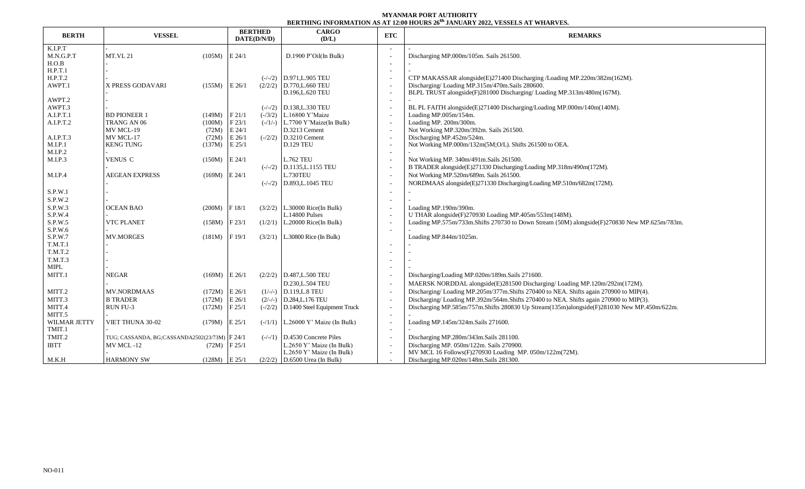## **MYANMAR PORT AUTHORITY BERTHING INFORMATION AS AT 12:00 HOURS 26 th JANUARY 2022, VESSELS AT WHARVES.**

| <b>BERTH</b>       | <b>VESSEL</b>                                 |                 | <b>BERTHED</b><br>DATE(D/N/D) |  | <b>CARGO</b>                          | <b>ETC</b>               | DENIMIN IN VINIMIN ON ADALI ERV HVVIN EV - 0ANVANI EVER TEODELO AI THAN TEC<br><b>REMARKS</b> |
|--------------------|-----------------------------------------------|-----------------|-------------------------------|--|---------------------------------------|--------------------------|-----------------------------------------------------------------------------------------------|
|                    |                                               |                 |                               |  | (D/L)                                 |                          |                                                                                               |
| K.I.P.T            |                                               |                 |                               |  |                                       |                          |                                                                                               |
| M.N.G.P.T<br>H.O.B | <b>MT.VL 21</b>                               | $(105M)$ E 24/1 |                               |  | D.1900 P'Oil(In Bulk)                 |                          | Discharging MP.000m/105m. Sails 261500.                                                       |
| H.P.T.1            |                                               |                 |                               |  |                                       | $\overline{\phantom{a}}$ |                                                                                               |
| H.P.T.2            |                                               |                 |                               |  | $(-/-/2)$ D.971, L.905 TEU            |                          | CTP MAKASSAR alongside(E)271400 Discharging /Loading MP.220m/382m(162M).                      |
| AWPT.1             | X PRESS GODAVARI                              | (155M)          | E 26/1                        |  | $(2/2/2)$ D.770, L.660 TEU            |                          | Discharging/Loading MP.315m/470m.Sails 280600.                                                |
|                    |                                               |                 |                               |  | D.196, L.620 TEU                      |                          | BLPL TRUST alongside(F)281000 Discharging/Loading MP.313m/480m(167M).                         |
| AWPT.2             |                                               |                 |                               |  |                                       |                          |                                                                                               |
| AWPT.3             |                                               |                 |                               |  | $(-/-/2)$ D.138, L.330 TEU            |                          | BL PL FAITH alongside(E)271400 Discharging/Loading MP.000m/140m(140M).                        |
| A.I.P.T.1          | <b>BD PIONEER 1</b>                           | (149M)          | F21/1                         |  | $(-/3/2)$ L.16800 Y'Maize             |                          | Loading MP.005m/154m.                                                                         |
| A.I.P.T.2          | TRANG AN 06                                   | (100M)          | F23/1                         |  | $(-/1/-)$   L.7700 Y'Maize(In Bulk)   |                          | Loading MP. 200m/300m.                                                                        |
|                    | MV MCL-19                                     | (72M)           | E 24/1                        |  | D.3213 Cement                         |                          | Not Working MP.320m/392m. Sails 261500.                                                       |
| A.I.P.T.3          | MV MCL-17                                     | (72M)           | E 26/1                        |  | $(-/2/2)$ D.3210 Cement               |                          | Discharging MP.452m/524m.                                                                     |
| M.I.P.1            | <b>KENG TUNG</b>                              | (137M)          | $E$ 25/1                      |  | <b>D.129 TEU</b>                      |                          | Not Working MP.000m/132m(5M;O/L). Shifts 261500 to OEA.                                       |
| M.I.P.2            |                                               |                 |                               |  |                                       |                          |                                                                                               |
| M.I.P.3            | VENUS C                                       | (150M)          | E 24/1                        |  | <b>L.762 TEU</b>                      |                          | Not Working MP. 340m/491m.Sails 261500.                                                       |
|                    |                                               |                 |                               |  | $(-/-/2)$ D.1135, L.1155 TEU          |                          | B TRADER alongside(E)271330 Discharging/Loading MP.318m/490m(172M).                           |
| M.I.P.4            | <b>AEGEAN EXPRESS</b>                         | $(169M)$ E 24/1 |                               |  | L.730TEU                              |                          | Not Working MP.520m/689m. Sails 261500.                                                       |
|                    |                                               |                 |                               |  | $(-/-/2)$ D.893, L.1045 TEU           |                          | NORDMAAS alongside(E)271330 Discharging/Loading MP.510m/682m(172M).                           |
| S.P.W.1            |                                               |                 |                               |  |                                       |                          |                                                                                               |
| S.P.W.2            |                                               |                 |                               |  |                                       |                          |                                                                                               |
| S.P.W.3            | <b>OCEAN BAO</b>                              | (200M)          | F 18/1                        |  | $(3/2/2)$ L.30000 Rice(In Bulk)       |                          | Loading MP.190m/390m.                                                                         |
| S.P.W.4            |                                               |                 |                               |  | L.14800 Pulses                        |                          | U THAR alongside(F)270930 Loading MP.405m/553m(148M).                                         |
| S.P.W.5            | <b>VTC PLANET</b>                             | (158M)          | F23/1                         |  | $(1/2/1)$ L.20000 Rice(In Bulk)       |                          | Loading MP.575m/733m.Shifts 270730 to Down Stream (50M) alongside(F)270830 New MP.625m/783m.  |
| S.P.W.6            |                                               |                 |                               |  |                                       | $\overline{\phantom{a}}$ |                                                                                               |
| S.P.W.7            | <b>MV.MORGES</b>                              | (181M)          | F 19/1                        |  | $(3/2/1)$ L.30800 Rice (In Bulk)      |                          | Loading MP.844m/1025m.                                                                        |
| T.M.T.1<br>T.M.T.2 |                                               |                 |                               |  |                                       |                          |                                                                                               |
| T.M.T.3            |                                               |                 |                               |  |                                       |                          |                                                                                               |
| MIPL               |                                               |                 |                               |  |                                       |                          |                                                                                               |
| MITT.1             | <b>NEGAR</b>                                  | $(169M)$ E 26/1 |                               |  | $(2/2/2)$ D.487, L.500 TEU            |                          | Discharging/Loading MP.020m/189m.Sails 271600.                                                |
|                    |                                               |                 |                               |  | D.230, L.504 TEU                      |                          | MAERSK NORDDAL alongside(E)281500 Discharging/Loading MP.120m/292m(172M).                     |
| MITT.2             | <b>MV.NORDMAAS</b>                            | (172M)          | E 26/1                        |  | $(1/-/-)$ D.119, L.8 TEU              |                          | Discharging/Loading MP.205m/377m.Shifts 270400 to NEA. Shifts again 270900 to MIP(4).         |
| MITT.3             | <b>B TRADER</b>                               | (172M)          | E 26/1                        |  | $(2/-/-)$ D.284, L.176 TEU            |                          | Discharging/Loading MP.392m/564m. Shifts 270400 to NEA. Shifts again 270900 to MIP(3).        |
| MITT.4             | RUN FU-3                                      | (172M)          | F 25/1                        |  | $(-2/2)$ D.1400 Steel Equipment Truck |                          | Discharging MP.585m/757m.Shifts 280830 Up Stream(135m)alongside(F)281030 New MP.450m/622m.    |
| MITT.5             |                                               |                 |                               |  |                                       |                          |                                                                                               |
| WILMAR JETTY       | VIET THUNA 30-02                              | (179M)          | $E$ 25/1                      |  | $(-/1/1)$ L.26000 Y' Maize (In Bulk)  |                          | Loading MP.145m/324m.Sails 271600.                                                            |
| TMIT.1             |                                               |                 |                               |  |                                       |                          |                                                                                               |
| TMIT.2             | TUG; CASSANDA, BG;CASSANDA2502(23/73M) F 24/1 |                 |                               |  | $(-/-/1)$ D.4530 Concrete Piles       |                          | Discharging MP.280m/343m.Sails 281100.                                                        |
| <b>IBTT</b>        | MV MCL-12                                     | (72M)           | F 25/1                        |  | L.2650 Y' Maize (In Bulk)             |                          | Discharging MP. 050m/122m. Sails 270900.                                                      |
|                    |                                               |                 |                               |  | L.2650 Y' Maize (In Bulk)             |                          | MV MCL 16 Follows(F)270930 Loading MP. 050m/122m(72M).                                        |
| M.K.H              | <b>HARMONY SW</b>                             | $(128M)$ E 25/1 |                               |  | $(2/2/2)$ D.6500 Urea (In Bulk)       |                          | Discharging MP.020m/148m.Sails 281300.                                                        |